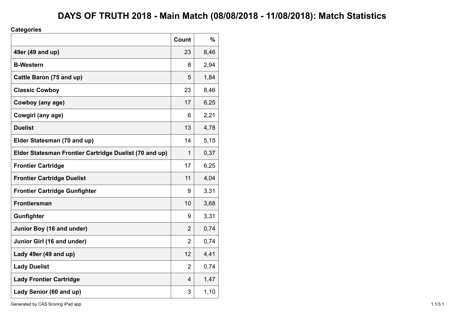## **DAYS OF TRUTH 2018 - Main Match (08/08/2018 - 11/08/2018): Match Statistics**

### **Categories**

|                                                        | Count          | $\frac{9}{6}$ |
|--------------------------------------------------------|----------------|---------------|
| 49er (49 and up)                                       | 23             | 8,46          |
| <b>B-Western</b>                                       | 8              | 2,94          |
| Cattle Baron (75 and up)                               | 5              | 1,84          |
| <b>Classic Cowboy</b>                                  | 23             | 8,46          |
| Cowboy (any age)                                       | 17             | 6,25          |
| Cowgirl (any age)                                      | 6              | 2,21          |
| <b>Duelist</b>                                         | 13             | 4,78          |
| Elder Statesman (70 and up)                            | 14             | 5,15          |
| Elder Statesman Frontier Cartridge Duelist (70 and up) | 1              | 0,37          |
| <b>Frontier Cartridge</b>                              | 17             | 6,25          |
| <b>Frontier Cartridge Duelist</b>                      | 11             | 4,04          |
| <b>Frontier Cartridge Gunfighter</b>                   | 9              | 3,31          |
| <b>Frontiersman</b>                                    | 10             | 3,68          |
| Gunfighter                                             | 9              | 3,31          |
| Junior Boy (16 and under)                              | 2              | 0,74          |
| Junior Girl (16 and under)                             | $\overline{2}$ | 0,74          |
| Lady 49er (49 and up)                                  | 12             | 4,41          |
| <b>Lady Duelist</b>                                    | $\overline{2}$ | 0,74          |
| <b>Lady Frontier Cartridge</b>                         | $\overline{4}$ | 1,47          |
| Lady Senior (60 and up)                                | 3              | 1,10          |

Generated by CAS Scoring iPad app 1.1/3.1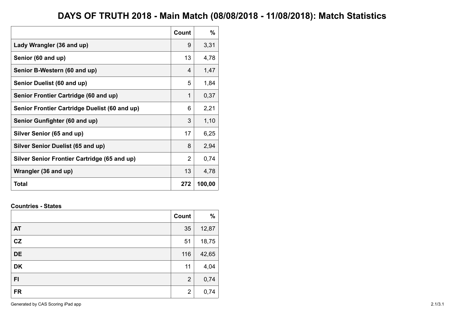## **DAYS OF TRUTH 2018 - Main Match (08/08/2018 - 11/08/2018): Match Statistics**

|                                               | Count          | %      |
|-----------------------------------------------|----------------|--------|
| Lady Wrangler (36 and up)                     | 9              | 3,31   |
| Senior (60 and up)                            | 13             | 4,78   |
| Senior B-Western (60 and up)                  | 4              | 1,47   |
| Senior Duelist (60 and up)                    | 5              | 1,84   |
| Senior Frontier Cartridge (60 and up)         | 1              | 0,37   |
| Senior Frontier Cartridge Duelist (60 and up) | 6              | 2,21   |
| Senior Gunfighter (60 and up)                 | 3              | 1,10   |
| Silver Senior (65 and up)                     | 17             | 6,25   |
| <b>Silver Senior Duelist (65 and up)</b>      | 8              | 2,94   |
| Silver Senior Frontier Cartridge (65 and up)  | $\overline{2}$ | 0,74   |
| Wrangler (36 and up)                          | 13             | 4,78   |
| Total                                         | 272            | 100,00 |

#### **Countries - States**

|           | Count          | $\frac{9}{6}$ |
|-----------|----------------|---------------|
| <b>AT</b> | 35             | 12,87         |
| CZ        | 51             | 18,75         |
| <b>DE</b> | 116            | 42,65         |
| <b>DK</b> | 11             | 4,04          |
| F1        | $\overline{2}$ | 0,74          |
| <b>FR</b> | $\overline{2}$ | 0,74          |